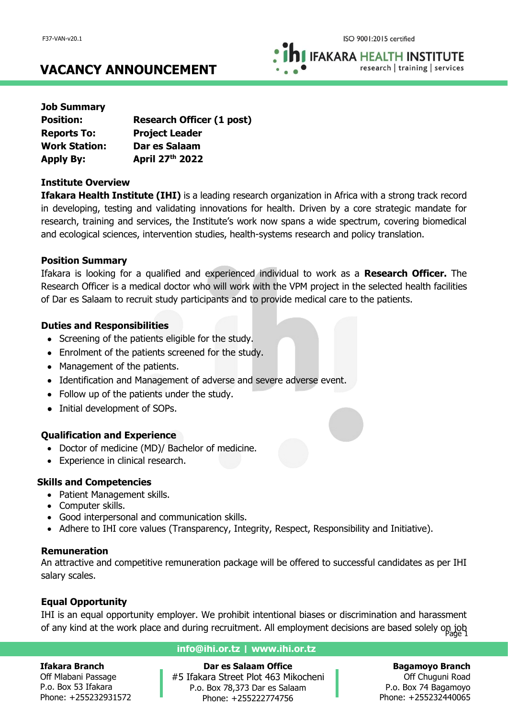**IFAKARA HEALTH INSTITUTE** research | training | services

# **VACANCY ANNOUNCEMENT**

| <b>Job Summary</b>   |                                  |
|----------------------|----------------------------------|
| <b>Position:</b>     | <b>Research Officer (1 post)</b> |
| <b>Reports To:</b>   | <b>Project Leader</b>            |
| <b>Work Station:</b> | Dar es Salaam                    |
| <b>Apply By:</b>     | April 27th 2022                  |

### **Institute Overview**

**Ifakara Health Institute (IHI)** is a leading research organization in Africa with a strong track record in developing, testing and validating innovations for health. Driven by a core strategic mandate for research, training and services, the Institute's work now spans a wide spectrum, covering biomedical and ecological sciences, intervention studies, health-systems research and policy translation.

## **Position Summary**

Ifakara is looking for a qualified and experienced individual to work as a **Research Officer.** The Research Officer is a medical doctor who will work with the VPM project in the selected health facilities of Dar es Salaam to recruit study participants and to provide medical care to the patients.

## **Duties and Responsibilities**

- Screening of the patients eligible for the study.
- Enrolment of the patients screened for the study.
- Management of the patients.
- Identification and Management of adverse and severe adverse event.
- Follow up of the patients under the study.
- Initial development of SOPs.

## **Qualification and Experience**

- Doctor of medicine (MD)/ Bachelor of medicine.
- Experience in clinical research.

## **Skills and Competencies**

- Patient Management skills.
- Computer skills.
- Good interpersonal and communication skills.
- Adhere to IHI core values (Transparency, Integrity, Respect, Responsibility and Initiative).

## **Remuneration**

An attractive and competitive remuneration package will be offered to successful candidates as per IHI salary scales.

## **Equal Opportunity**

of any kind at the work place and during recruitment. All employment decisions are based solely on job<br>1 age 1 IHI is an equal opportunity employer. We prohibit intentional biases or discrimination and harassment

#### **Ifakara Branch**

Off Mlabani Passage P.o. Box 53 Ifakara Phone: +255232931572

#### **info@ihi.or.tz | www.ihi.or.tz**

**Dar es Salaam Office** #5 Ifakara Street Plot 463 Mikocheni P.o. Box 78,373 Dar es Salaam Phone: +255222774756

## **Bagamoyo Branch**

Off Chuguni Road P.o. Box 74 Bagamoyo Phone: +255232440065